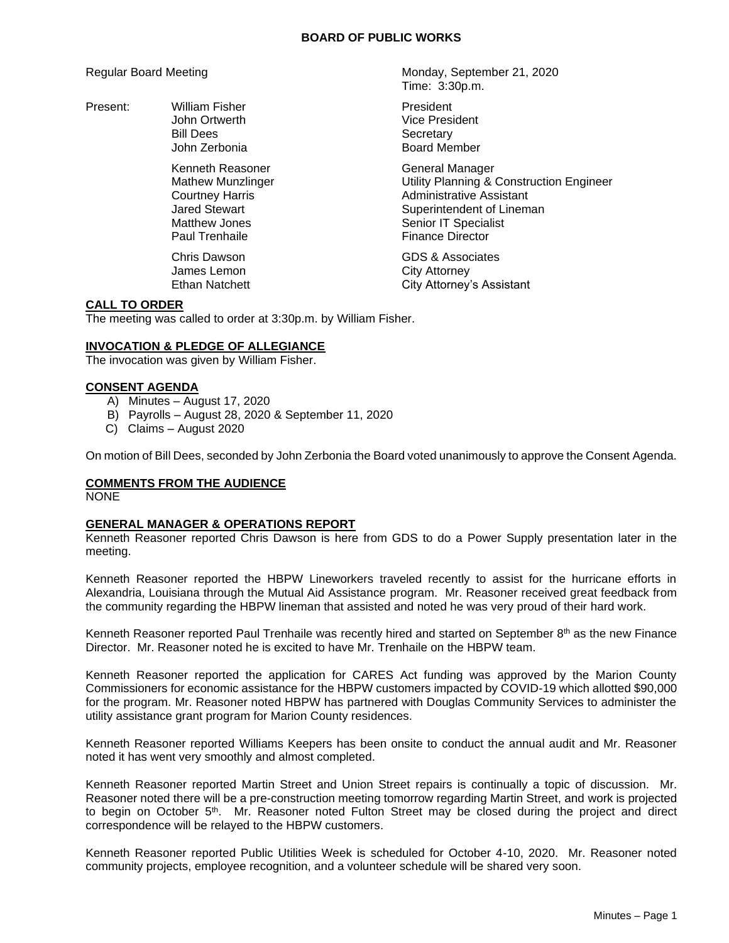### **BOARD OF PUBLIC WORKS**

Present: William Fisher **President** President

John Zerbonia **Board Member** Kenneth Reasoner General Manager Paul Trenhaile **Finance Director** 

James Lemon City Attorney

Regular Board Meeting Monday, September 21, 2020 Time: 3:30p.m.

> John Ortwerth Vice President Bill Dees Secretary

Mathew Munzlinger **Mathew Munzlinger** Utility Planning & Construction Engineer Courtney Harris **Administrative Assistant**<br>
Jared Stewart **Administrative Assistant**<br>
Superintendent of Linem Superintendent of Lineman Matthew Jones **Senior IT** Specialist

Chris Dawson GDS & Associates Ethan Natchett **City Attorney's Assistant** 

# **CALL TO ORDER**

The meeting was called to order at 3:30p.m. by William Fisher.

# **INVOCATION & PLEDGE OF ALLEGIANCE**

The invocation was given by William Fisher.

## **CONSENT AGENDA**

- A) Minutes August 17, 2020
- B) Payrolls August 28, 2020 & September 11, 2020
- C) Claims August 2020

On motion of Bill Dees, seconded by John Zerbonia the Board voted unanimously to approve the Consent Agenda.

# **COMMENTS FROM THE AUDIENCE**

NONE

# **GENERAL MANAGER & OPERATIONS REPORT**

Kenneth Reasoner reported Chris Dawson is here from GDS to do a Power Supply presentation later in the meeting.

Kenneth Reasoner reported the HBPW Lineworkers traveled recently to assist for the hurricane efforts in Alexandria, Louisiana through the Mutual Aid Assistance program. Mr. Reasoner received great feedback from the community regarding the HBPW lineman that assisted and noted he was very proud of their hard work.

Kenneth Reasoner reported Paul Trenhaile was recently hired and started on September 8<sup>th</sup> as the new Finance Director. Mr. Reasoner noted he is excited to have Mr. Trenhaile on the HBPW team.

Kenneth Reasoner reported the application for CARES Act funding was approved by the Marion County Commissioners for economic assistance for the HBPW customers impacted by COVID-19 which allotted \$90,000 for the program. Mr. Reasoner noted HBPW has partnered with Douglas Community Services to administer the utility assistance grant program for Marion County residences.

Kenneth Reasoner reported Williams Keepers has been onsite to conduct the annual audit and Mr. Reasoner noted it has went very smoothly and almost completed.

Kenneth Reasoner reported Martin Street and Union Street repairs is continually a topic of discussion. Mr. Reasoner noted there will be a pre-construction meeting tomorrow regarding Martin Street, and work is projected to begin on October 5<sup>th</sup>. Mr. Reasoner noted Fulton Street may be closed during the project and direct correspondence will be relayed to the HBPW customers.

Kenneth Reasoner reported Public Utilities Week is scheduled for October 4-10, 2020. Mr. Reasoner noted community projects, employee recognition, and a volunteer schedule will be shared very soon.